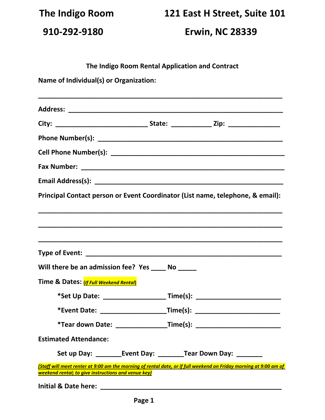**The Indigo Room 121 East H Street, Suite 101**

 **910-292-9180 Erwin, NC 28339**

**The Indigo Room Rental Application and Contract**

**Name of Individual(s) or Organization:**

| Principal Contact person or Event Coordinator (List name, telephone, & email):                                                                                           |                                                                                  |
|--------------------------------------------------------------------------------------------------------------------------------------------------------------------------|----------------------------------------------------------------------------------|
|                                                                                                                                                                          |                                                                                  |
|                                                                                                                                                                          |                                                                                  |
|                                                                                                                                                                          |                                                                                  |
|                                                                                                                                                                          |                                                                                  |
| Will there be an admission fee? Yes _____ No _____                                                                                                                       |                                                                                  |
| Time & Dates: (If Full Weekend Rental)                                                                                                                                   |                                                                                  |
|                                                                                                                                                                          | *Set Up Date: ______________________ Time(s): __________________________________ |
|                                                                                                                                                                          | *Event Date: _______________________Time(s): ___________________________________ |
|                                                                                                                                                                          |                                                                                  |
| <b>Estimated Attendance:</b>                                                                                                                                             |                                                                                  |
|                                                                                                                                                                          |                                                                                  |
| (Staff will meet renter at 9:00 am the morning of rental date, or if full weekend on Friday morning at 9:00 am of<br>weekend rental; to give instructions and venue key) |                                                                                  |
|                                                                                                                                                                          |                                                                                  |

**Initial & Date here: \_\_\_\_\_\_\_\_\_\_\_\_\_\_\_\_\_\_\_\_\_\_\_\_\_\_\_\_\_\_\_\_\_\_\_\_\_\_\_\_\_\_\_\_\_\_\_\_\_**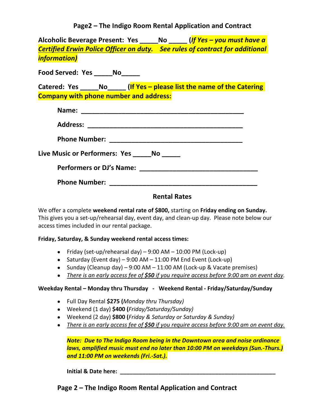**Page2 – The Indigo Room Rental Application and Contract**

**Alcoholic Beverage Present: Yes \_\_\_\_\_No \_\_\_\_\_ (***If Yes – you must have a Certified Erwin Police Officer on duty. See rules of contract for additional information)*

**Food Served: Yes \_\_\_\_\_No\_\_\_\_\_**

**Catered: Yes \_\_\_\_\_No\_\_\_\_\_ (If Yes – please list the name of the Catering Company with phone number and address:**

| Name:                            |
|----------------------------------|
|                                  |
|                                  |
| Live Music or Performers: Yes No |
|                                  |
|                                  |

# **Rental Rates**

We offer a complete **weekend rental rate of \$800,** starting on **Friday ending on Sunday.**  This gives you a set-up/rehearsal day, event day, and clean-up day. Please note below our access times included in our rental package.

#### **Friday, Saturday, & Sunday weekend rental access times:**

- Friday (set-up/rehearsal day)  $9:00$  AM  $10:00$  PM (Lock-up)
- Saturday (Event day) 9:00 AM 11:00 PM End Event (Lock-up)
- Sunday (Cleanup day) 9:00 AM 11:00 AM (Lock-up & Vacate premises)
- *There is an early access fee of \$50 if you require access before 9:00 am on event day.*

#### **Weekday Rental – Monday thru Thursday - Weekend Rental - Friday/Saturday/Sunday**

- Full Day Rental **\$275 (***Monday thru Thursday)*
- Weekend (1 day) **\$400 (***Friday/Saturday/Sunday)*
- Weekend (2 day) **\$800 (***Friday & Saturday or Saturday & Sunday)*
- *There is an early access fee of \$50 if you require access before 9:00 am on event day.*

*Note: Due to The Indigo Room being in the Downtown area and noise ordinance laws, amplified music must end no later than 10:00 PM on weekdays (Sun.-Thurs.) and 11:00 PM on weekends (Fri.-Sat.).*

**Initial & Date here: We are all the set of the set of the set of the set of the set of the set of the set of the set of the set of the set of the set of the set of the set of the set of the set of the set of the set of** 

**Page 2 – The Indigo Room Rental Application and Contract**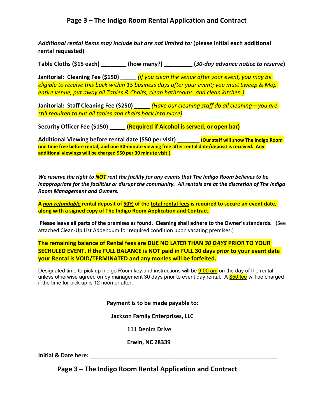# **Page 3 – The Indigo Room Rental Application and Contract**

*Additional rental items may include but are not limited to:* **(please initial each additional rental requested)**

**Table Cloths (\$15 each) \_\_\_\_\_\_\_\_ (how many?) \_\_\_\_\_\_\_\_\_ (***30-day advance notice to reserve***)**

**Janitorial: Cleaning Fee (\$150) \_\_\_\_\_** *(if you clean the venue after your event, you may be eligible to receive this back within 15 business days after your event; you must Sweep & Mop entire venue, put away all Tables & Chairs, clean bathrooms, and clean kitchen.)*

**Janitorial: Staff Cleaning Fee (\$250) \_\_\_\_\_** *(Have our cleaning staff do all cleaning – you are still required to put all tables and chairs back into place)*

**Security Officer Fee (\$150) \_\_\_\_\_ (Required if Alcohol is served, or open bar)**

**Additional Viewing before rental date (\$50 per visit) \_\_\_\_\_\_\_ (Our staff will show The Indigo Room one time free before rental; and one 30-minute viewing free after rental date/deposit is received. Any additional viewings will be charged \$50 per 30 minute visit.)**

*We reserve the right to NOT rent the facility for any events that The Indigo Room believes to be inappropriate for the facilities or disrupt the community. All rentals are at the discretion of The Indigo Room Management and Owners.*

**A** *non-refundable* **rental deposit of 50% of the total rental fees is required to secure an event date, along with a signed copy of The Indigo Room Application and Contract.**

**Please leave all parts of the premises as found. Cleaning shall adhere to the Owner's standards.** (See attached Clean-Up List Addendum for required condition upon vacating premises.)

**The remaining balance of Rental fees are DUE NO LATER THAN** *30 DAYS* **PRIOR TO YOUR SECHULED EVENT. If the FULL BALANCE is NOT paid in FULL 30 days prior to your event date your Rental is VOID/TERMINATED and any monies will be forfeited.**

Designated time to pick up Indigo Room key and instructions will be  $9:00$  am on the day of the rental; unless otherwise agreed on by management 30 days prior to event day rental. A \$50 fee will be charged if the time for pick up is 12 noon or after.

 **Payment is to be made payable to:** 

 **Jackson Family Enterprises, LLC**

 **111 Denim Drive**

 **Erwin, NC 28339**

**Initial & Date here: with the set of the set of the set of the set of the set of the set of the set of the set of the set of the set of the set of the set of the set of the set of the set of the set of the set of the se** 

**Page 3 – The Indigo Room Rental Application and Contract**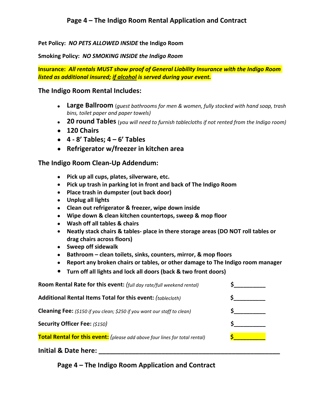**Pet Policy:** *NO PETS ALLOWED INSIDE* **the Indigo Room**

**Smoking Policy:** *NO SMOKING INSIDE the Indigo Room*

**Insurance:** *All rentals MUST show proof of General Liability Insurance with the Indigo Room listed as additional insured; if alcohol is served during your event.*

### **The Indigo Room Rental Includes:**

- **Large Ballroom** (*guest bathrooms for men & women, fully stocked with hand soap, trash bins, toilet paper and paper towels)*
- **20 round Tables** (*you will need to furnish tablecloths if not rented from the Indigo room)*
- **120 Chairs**
- **4 8' Tables; 4 6' Tables**
- **Refrigerator w/freezer in kitchen area**

## **The Indigo Room Clean-Up Addendum:**

- **Pick up all cups, plates, silverware, etc.**
- **Pick up trash in parking lot in front and back of The Indigo Room**
- **Place trash in dumpster (out back door)**
- **Unplug all lights**
- **Clean out refrigerator & freezer, wipe down inside**
- **Wipe down & clean kitchen countertops, sweep & mop floor**
- **Wash off all tables & chairs**
- **Neatly stack chairs & tables- place in there storage areas (DO NOT roll tables or drag chairs across floors)**
- **Sweep off sidewalk**
- **Bathroom clean toilets, sinks, counters, mirror, & mop floors**
- **Report any broken chairs or tables, or other damage to The Indigo room manager**
- **Turn off all lights and lock all doors (back & two front doors)**

| Room Rental Rate for this event: (full day rate/full weekend rental)            |  |
|---------------------------------------------------------------------------------|--|
| Additional Rental Items Total for this event: (tablecloth)                      |  |
| <b>Cleaning Fee:</b> (\$150 if you clean; \$250 if you want our staff to clean) |  |
| <b>Security Officer Fee: (\$150)</b>                                            |  |
| Total Rental for this event: (please add above four lines for total rental)     |  |
| Initial & Date here:                                                            |  |

**Page 4 – The Indigo Room Application and Contract**